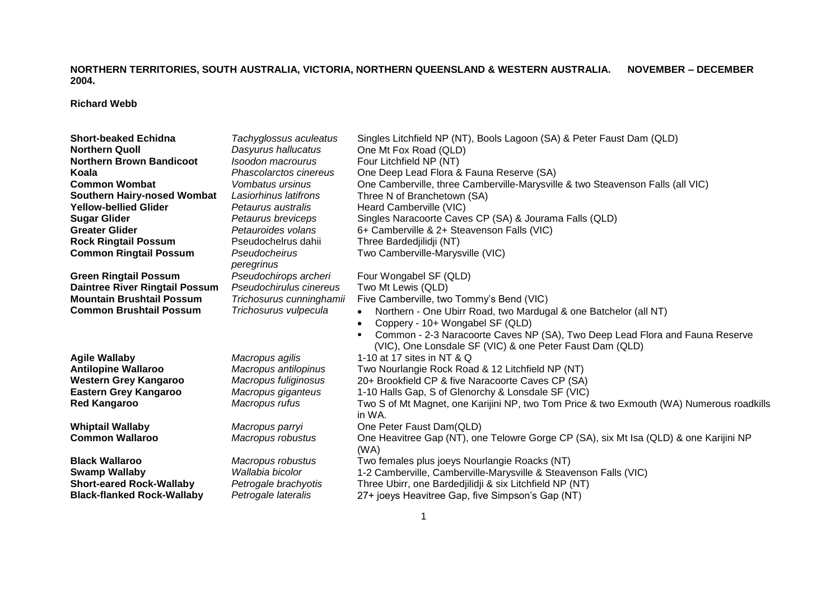## **NORTHERN TERRITORIES, SOUTH AUSTRALIA, VICTORIA, NORTHERN QUEENSLAND & WESTERN AUSTRALIA. NOVEMBER – DECEMBER 2004.**

**Richard Webb**

| <b>Short-beaked Echidna</b>           | Tachyglossus aculeatus   | Singles Litchfield NP (NT), Bools Lagoon (SA) & Peter Faust Dam (QLD)                              |
|---------------------------------------|--------------------------|----------------------------------------------------------------------------------------------------|
| <b>Northern Quoll</b>                 | Dasyurus hallucatus      | One Mt Fox Road (QLD)                                                                              |
| <b>Northern Brown Bandicoot</b>       | Isoodon macrourus        | Four Litchfield NP (NT)                                                                            |
| Koala                                 | Phascolarctos cinereus   | One Deep Lead Flora & Fauna Reserve (SA)                                                           |
| <b>Common Wombat</b>                  | Vombatus ursinus         | One Camberville, three Camberville-Marysville & two Steavenson Falls (all VIC)                     |
| <b>Southern Hairy-nosed Wombat</b>    | Lasiorhinus latifrons    | Three N of Branchetown (SA)                                                                        |
| Yellow-bellied Glider                 | Petaurus australis       | Heard Camberville (VIC)                                                                            |
| <b>Sugar Glider</b>                   | Petaurus breviceps       | Singles Naracoorte Caves CP (SA) & Jourama Falls (QLD)                                             |
| Greater Glider                        | Petauroides volans       | 6+ Camberville & 2+ Steavenson Falls (VIC)                                                         |
| <b>Rock Ringtail Possum</b>           | Pseudochelrus dahii      | Three Bardedjilidji (NT)                                                                           |
| <b>Common Ringtail Possum</b>         | Pseudocheirus            | Two Camberville-Marysville (VIC)                                                                   |
|                                       | peregrinus               |                                                                                                    |
| <b>Green Ringtail Possum</b>          | Pseudochirops archeri    | Four Wongabel SF (QLD)                                                                             |
| <b>Daintree River Ringtail Possum</b> | Pseudochirulus cinereus  | Two Mt Lewis (QLD)                                                                                 |
| <b>Mountain Brushtail Possum</b>      | Trichosurus cunninghamii | Five Camberville, two Tommy's Bend (VIC)                                                           |
| <b>Common Brushtail Possum</b>        | Trichosurus vulpecula    | Northern - One Ubirr Road, two Mardugal & one Batchelor (all NT)<br>$\bullet$                      |
|                                       |                          | Coppery - 10+ Wongabel SF (QLD)                                                                    |
|                                       |                          | Common - 2-3 Naracoorte Caves NP (SA), Two Deep Lead Flora and Fauna Reserve                       |
|                                       |                          | (VIC), One Lonsdale SF (VIC) & one Peter Faust Dam (QLD)                                           |
| <b>Agile Wallaby</b>                  | Macropus agilis          | 1-10 at 17 sites in NT & Q                                                                         |
| <b>Antilopine Wallaroo</b>            | Macropus antilopinus     | Two Nourlangie Rock Road & 12 Litchfield NP (NT)                                                   |
| Western Grey Kangaroo                 | Macropus fuliginosus     | 20+ Brookfield CP & five Naracoorte Caves CP (SA)                                                  |
| <b>Eastern Grey Kangaroo</b>          | Macropus giganteus       | 1-10 Halls Gap, S of Glenorchy & Lonsdale SF (VIC)                                                 |
| <b>Red Kangaroo</b>                   | Macropus rufus           | Two S of Mt Magnet, one Karijini NP, two Tom Price & two Exmouth (WA) Numerous roadkills<br>in WA. |
| Whiptail Wallaby                      | Macropus parryi          | One Peter Faust Dam(QLD)                                                                           |
| <b>Common Wallaroo</b>                | Macropus robustus        | One Heavitree Gap (NT), one Telowre Gorge CP (SA), six Mt Isa (QLD) & one Karijini NP              |
|                                       |                          | (WA)                                                                                               |
| <b>Black Wallaroo</b>                 | Macropus robustus        | Two females plus joeys Nourlangie Roacks (NT)                                                      |
| Swamp Wallaby                         | Wallabia bicolor         | 1-2 Camberville, Camberville-Marysville & Steavenson Falls (VIC)                                   |
| <b>Short-eared Rock-Wallaby</b>       | Petrogale brachyotis     | Three Ubirr, one Bardedjilidji & six Litchfield NP (NT)                                            |
| <b>Black-flanked Rock-Wallaby</b>     | Petrogale lateralis      | 27+ joeys Heavitree Gap, five Simpson's Gap (NT)                                                   |